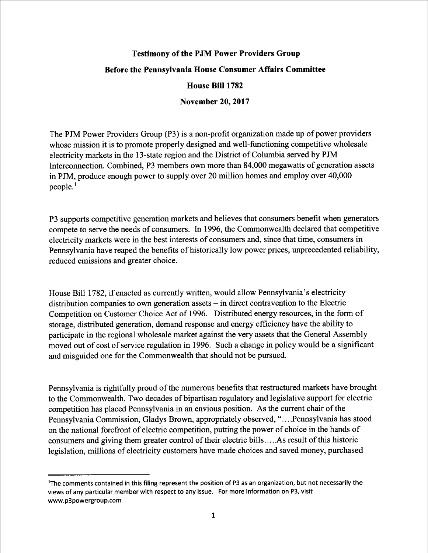## Testimony of the PJM Power Providers Group Before the Pennsylvania House Consumer Affairs Committee House Bill 1782

## November 20, 2017

The PJM Power Providers Group (P3) is a non-profit organization made up of power providers whose mission it is to promote properly designed and well-functioning competitive wholesale electricity markets in the 13-state region and the District of Columbia served by PJM Interconnection. Combined, P3 members own more than 84,000 megawatts of generation assets in PJM, produce enough power to supply over 20 million homes and employ over 40,000 people.<sup>1</sup>

P3 supports competitive generation markets and believes that consumers benefit when generators compete to serve the needs of consumers. In 1996, the Commonwealth declared that competitive electricity markets were in the best interests of consumers and, since that time, consumers in Pennsylvania have reaped the benefits of historically low power prices, unprecedented reliability, reduced emissions and greater choice.

House Bill 1782, if enacted as currently written, would allow Pennsylvania's electricity distribution companies to own generation assets -- in direct contravention to the Electric Competition on Customer Choice Act of 1996. Distributed energy resources, in the form of storage, distributed generation, demand response and energy efficiency have the ability to participate in the regional wholesale market against the very assets that the General Assembly moved out of cost of service regulation in 1996. Such a change in policy would be a significant and misguided one for the Commonwealth that should not be pursued.

Pennsylvania is rightfully proud of the numerous benefits that restructured markets have brought to the Commonwealth. Two decades of bipartisan regulatory and legislative support for electric competition has placed Pennsylvania in an envious position. As the current chair of the Pennsylvania Commission, Gladys Brown, appropriately observed, "....Pennsylvania has stood on the national forefront of electric competition, putting the power of choice in the hands of consumers and giving them greater control of their electric bills. . . ..As result of this historic legislation, millions of electricity customers have made choices and saved money, purchased

<sup>&</sup>lt;sup>1</sup>The comments contained in this filing represent the position of P3 as an organization, but not necessarily the views of any particular member with respect to any issue. For more information on P3, visit www.p3powergroup.com